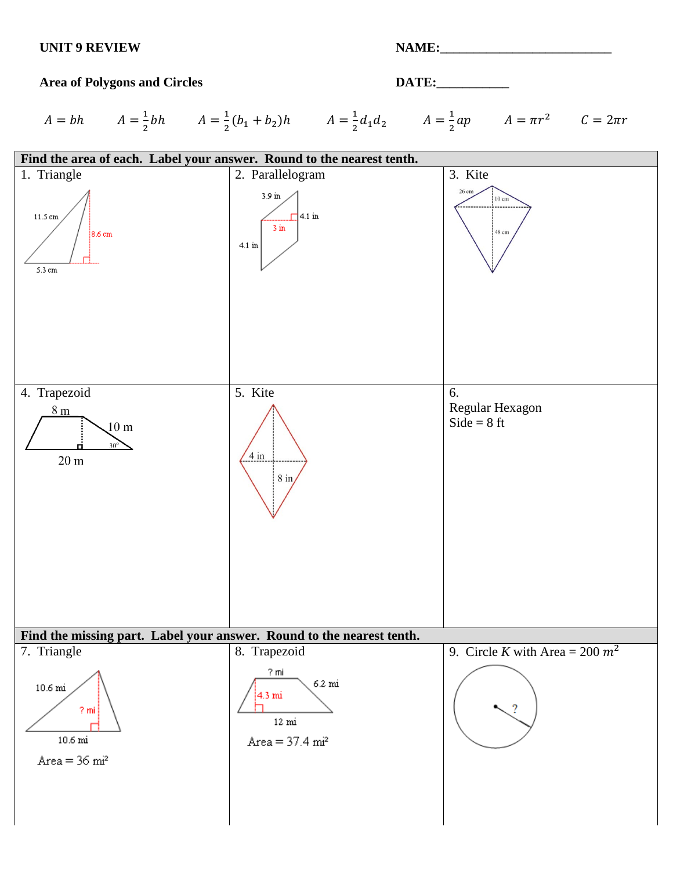## **UNIT 9 REVIEW NAME:\_\_\_\_\_\_\_\_\_\_\_\_\_\_\_\_\_\_\_\_\_\_\_\_\_\_**

## Area of Polygons and Circles **DATE:**

 $A = bh$   $A = \frac{1}{2}bh$   $A = \frac{1}{2}(b_1 + b_2)h$   $A = \frac{1}{2}d_1d_2$   $A = \frac{1}{2}ap$   $A = \pi r^2$   $C = 2\pi r$ 

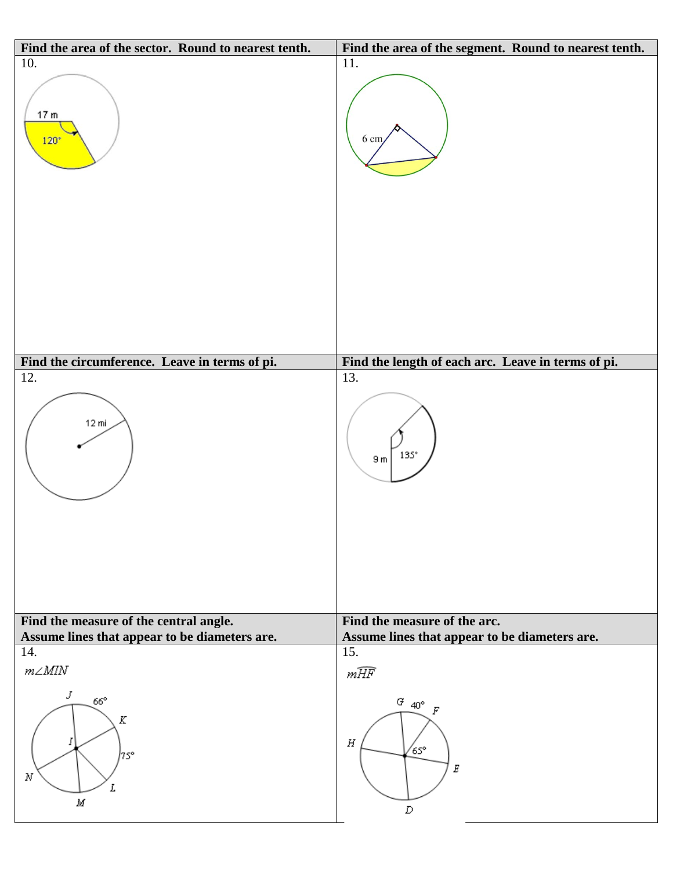| Find the area of the sector. Round to nearest tenth.                | Find the area of the segment. Round to nearest tenth. |
|---------------------------------------------------------------------|-------------------------------------------------------|
| 10.<br>17 <sub>m</sub><br>$120*$                                    | 11.<br>$6 \text{ cm}$                                 |
| Find the circumference. Leave in terms of pi.                       | Find the length of each arc. Leave in terms of pi.    |
| 12.                                                                 | 13.                                                   |
| $12 \text{ mi}$                                                     | $135^\circ$<br>9m                                     |
| Find the measure of the central angle.                              | Find the measure of the arc.                          |
| Assume lines that appear to be diameters are.<br>14.                | Assume lines that appear to be diameters are.<br>15.  |
|                                                                     |                                                       |
| $m\angle M l N$<br>J<br>$66^\circ$<br>Κ<br>1<br>∤7s°<br>N<br>L<br>М | mHF<br>$G_{-40^{\circ}}$<br>Н<br>65°<br>Ε<br>D        |